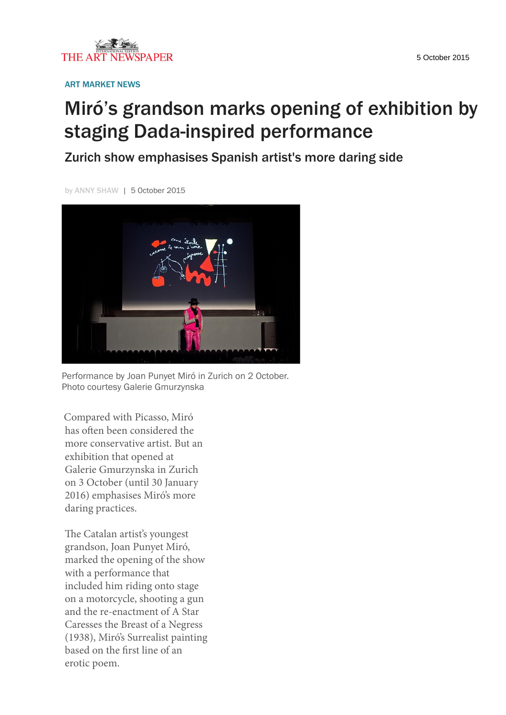

ART MARKET NEWS

## Miró's grandson marks opening of exhibition by staging Dada-inspired performance

Zurich show emphasises Spanish artist's more daring side

by ANNY SHAW | 5 October 2015



Performance by Joan Punyet Miró in Zurich on 2 October. Photo courtesy Galerie Gmurzynska

Compared with Picasso, Miró has often been considered the more conservative artist. But an exhibition that opened at Galerie Gmurzynska in Zurich on 3 October (until 30 January 2016) emphasises Miró's more daring practices.

The Catalan artist's youngest grandson, Joan Punyet Miró, marked the opening of the show with a performance that included him riding onto stage on a motorcycle, shooting a gun and the re-enactment of A Star Caresses the Breast of a Negress (1938), Miró's Surrealist painting based on the first line of an erotic poem.